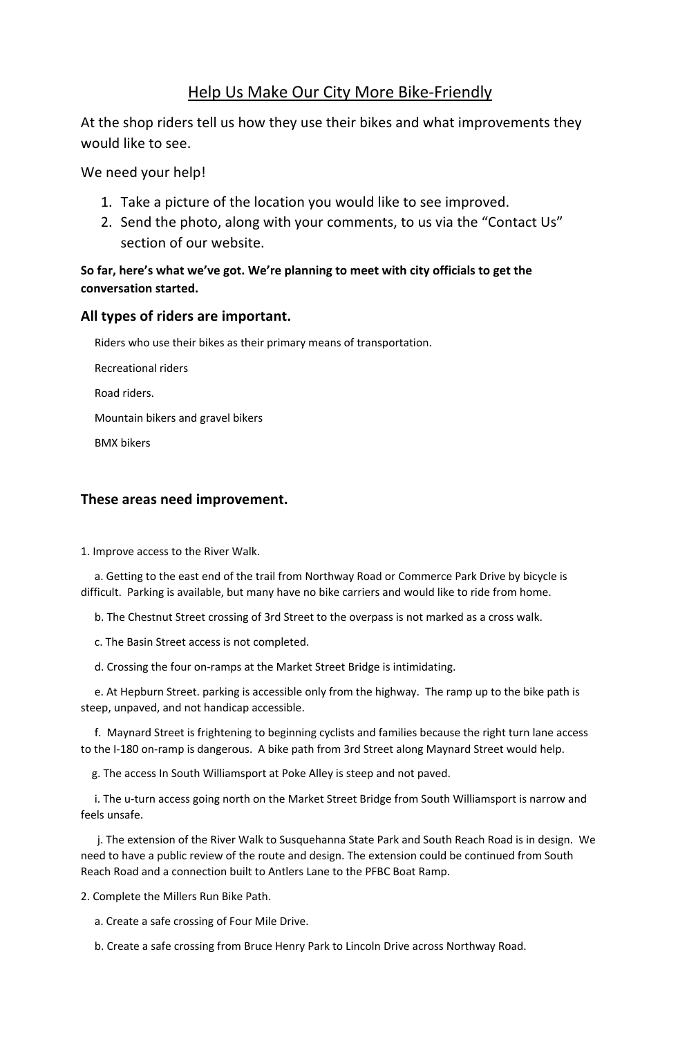## Help Us Make Our City More Bike-Friendly

At the shop riders tell us how they use their bikes and what improvements they would like to see.

We need your help!

- 1. Take a picture of the location you would like to see improved.
- 2. Send the photo, along with your comments, to us via the "Contact Us" section of our website.

## **So far, here's what we've got. We're planning to meet with city officials to get the conversation started.**

## **All types of riders are important.**

Riders who use their bikes as their primary means of transportation.

Recreational riders

Road riders.

Mountain bikers and gravel bikers

BMX bikers

## **These areas need improvement.**

1. Improve access to the River Walk.

 a. Getting to the east end of the trail from Northway Road or Commerce Park Drive by bicycle is difficult. Parking is available, but many have no bike carriers and would like to ride from home.

b. The Chestnut Street crossing of 3rd Street to the overpass is not marked as a cross walk.

c. The Basin Street access is not completed.

d. Crossing the four on-ramps at the Market Street Bridge is intimidating.

 e. At Hepburn Street. parking is accessible only from the highway. The ramp up to the bike path is steep, unpaved, and not handicap accessible.

 f. Maynard Street is frightening to beginning cyclists and families because the right turn lane access to the I-180 on-ramp is dangerous. A bike path from 3rd Street along Maynard Street would help.

g. The access In South Williamsport at Poke Alley is steep and not paved.

 i. The u-turn access going north on the Market Street Bridge from South Williamsport is narrow and feels unsafe.

 j. The extension of the River Walk to Susquehanna State Park and South Reach Road is in design. We need to have a public review of the route and design. The extension could be continued from South Reach Road and a connection built to Antlers Lane to the PFBC Boat Ramp.

2. Complete the Millers Run Bike Path.

a. Create a safe crossing of Four Mile Drive.

b. Create a safe crossing from Bruce Henry Park to Lincoln Drive across Northway Road.